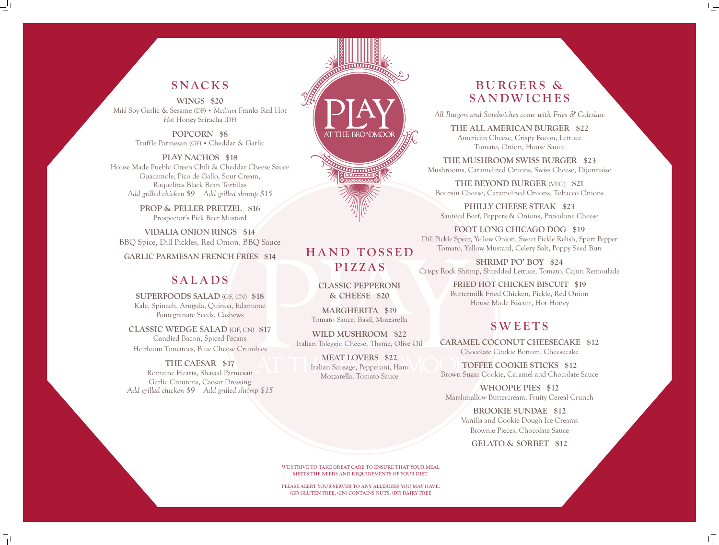**WE STRIVE TO TAKE GREAT CARE TO ENSURE THAT YOUR MEAL MEETS THE NEEDS AND REQUIREMENTS OF YOUR DIET.** 

**PLEASE ALERT YOUR SERVER TO ANY ALLERGIES YOU MAY HAVE. (GF) GLUTEN FREE, (CN) CONTAINS NUTS, (DF) DAIRY FREE**

**H A N D T O S S E D PIZZAS**

AT THE BROADMOOR

**THE REAL PROPERTY** 

**CLASSIC PEPPERONI & CHEESE \$20**

**MARGHERITA \$19** Tomato Sauce, Basil, Mozzarella

**WILD MUSHROOM \$22** Italian Taleggio Cheese, Thyme, Olive Oil

> **MEAT LOVERS \$22** Italian Sausage, Pepperoni, Ham Mozzarella, Tomato Sauce



## **SNACKS**

**WINGS \$20** *Mild* Soy Garlic & Sesame (DF) • *Medium* Franks Red Hot *Hot* Honey Sriracha (DF)

> **POPCORN \$8** Truffle Parmesan (GF) • Cheddar & Garlic

**PLAY NACHOS \$18** House Made Pueblo Green Chili & Cheddar Cheese Sauce Guacamole, Pico de Gallo, Sour Cream, Raquelitas Black Bean Tortillas *Add grilled chicken \$9 Add grilled shrimp \$15*

> **PROP & PELLER PRETZEL \$16** Prospector's Pick Beer Mustard

**VIDALIA ONION RINGS \$14** BBQ Spice, Dill Pickles, Red Onion, BBQ Sauce

**GARLIC PARMESAN FRENCH FRIES \$14**

## **SALADS**

**SUPERFOODS SALAD** (GF, CN) **\$18** Kale, Spinach, Arugula, Quinoa, Edamame Pomegranate Seeds, Cashews

**CLASSIC WEDGE SALAD** (GF, CN) **\$17**  Candied Bacon, Spiced Pecans Heirloom Tomatoes, Blue Cheese Crumbles

## **THE CAESAR \$17**

Romaine Hearts, Shaved Parmesan Garlic Croutons, Caesar Dressing *Add grilled chicken \$9 Add grilled shrimp \$15*

# **B U R G E R S & SANDWICHES**

*All Burgers and Sandwiches come with Fries & Coleslaw*

**THE ALL AMERICAN BURGER \$22** American Cheese, Crispy Bacon, Lettuce Tomato, Onion, House Sauce

**THE MUSHROOM SWISS BURGER \$23** Mushrooms, Caramelized Onions, Swiss Cheese, Dijonnaise

**THE BEYOND BURGER** (VEG) **\$21** Boursin Cheese, Caramelized Onions, Tobacco Onions

**PHILLY CHEESE STEAK \$23** Sautéed Beef, Peppers & Onions, Provolone Cheese

**FOOT LONG CHICAGO DOG \$19** Dill Pickle Spear, Yellow Onion, Sweet Pickle Relish, Sport Pepper Tomato, Yellow Mustard, Celery Salt, Poppy Seed Bun

**SHRIMP PO' BOY \$24** Crispy Rock Shrimp, Shredded Lettuce, Tomato, Cajun Remoulade

> **FRIED HOT CHICKEN BISCUIT \$19** Buttermilk Fried Chicken, Pickle, Red Onion House Made Biscuit, Hot Honey

# **SWEETS**

**CARAMEL COCONUT CHEESECAKE \$12** Chocolate Cookie Bottom, Cheesecake

**TOFFEE COOKIE STICKS \$12** Brown Sugar Cookie, Caramel and Chocolate Sauce

**WHOOPIE PIES \$12** Marshmallow Buttercream, Fruity Cereal Crunch

**BROOKIE SUNDAE \$12** Vanilla and Cookie Dough Ice Creams Brownie Pieces, Chocolate Sauce

**GELATO & SORBET \$12**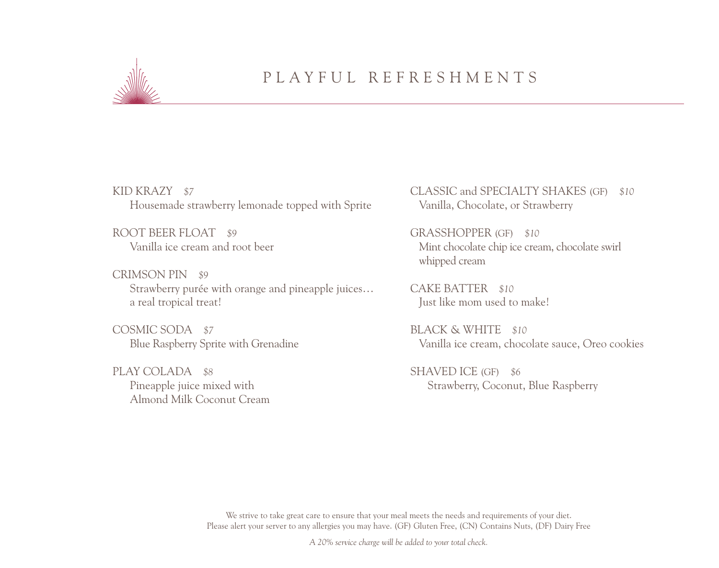

### PLAYFUL REFRESHMENTS

KID KRAZY *\$7* Housemade strawberry lemonade topped with Sprite

ROOT BEER FLOAT *\$9* Vanilla ice cream and root beer

CRIMSON PIN *\$9* Strawberry purée with orange and pineapple juices… a real tropical treat!

COSMIC SODA *\$7* Blue Raspberry Sprite with Grenadine

PLAY COLADA *\$8*  Pineapple juice mixed with Almond Milk Coconut Cream CLASSIC and SPECIALTY SHAKES (GF) *\$10* Vanilla, Chocolate, or Strawberry

GRASSHOPPER (GF) *\$10* Mint chocolate chip ice cream, chocolate swirl whipped cream

CAKE BATTER *\$10* Just like mom used to make!

BLACK & WHITE *\$10* Vanilla ice cream, chocolate sauce, Oreo cookies

SHAVED ICE (GF) *\$6*  Strawberry, Coconut, Blue Raspberry

We strive to take great care to ensure that your meal meets the needs and requirements of your diet. Please alert your server to any allergies you may have. (GF) Gluten Free, (CN) Contains Nuts, (DF) Dairy Free

*A 20% service charge will be added to your total check.*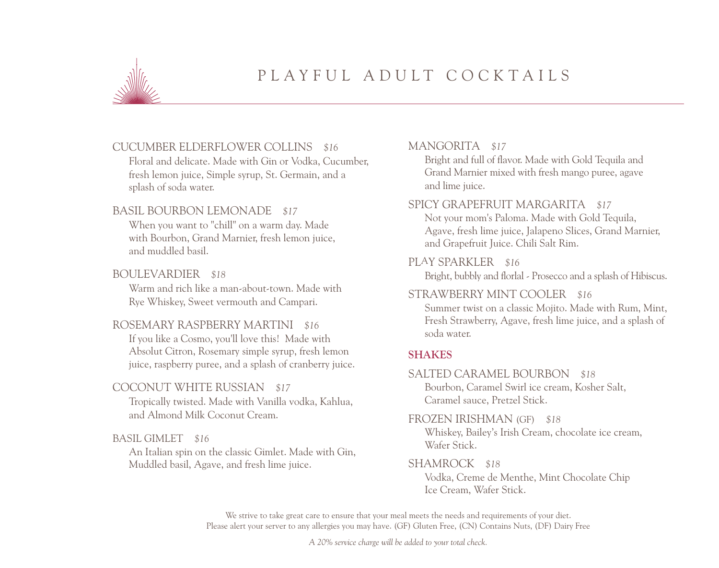

### PLAYFUL ADULT COCKTAILS

#### CUCUMBER ELDERFLOWER COLLINS *\$16*

Floral and delicate. Made with Gin or Vodka, Cucumber, fresh lemon juice, Simple syrup, St. Germain, and a splash of soda water.

#### BASIL BOURBON LEMONADE *\$17*

When you want to "chill" on a warm day. Made with Bourbon, Grand Marnier, fresh lemon juice, and muddled basil.

#### BOULEVARDIER *\$18*

Warm and rich like a man-about-town. Made with Rye Whiskey, Sweet vermouth and Campari.

#### ROSEMARY RASPBERRY MARTINI *\$16*

If you like a Cosmo, you'll love this! Made with Absolut Citron, Rosemary simple syrup, fresh lemon juice, raspberry puree, and a splash of cranberry juice.

#### COCONUT WHITE RUSSIAN *\$17*

Tropically twisted. Made with Vanilla vodka, Kahlua, and Almond Milk Coconut Cream.

#### BASIL GIMLET *\$16*

An Italian spin on the classic Gimlet. Made with Gin, Muddled basil, Agave, and fresh lime juice.

#### MANGORITA *\$17*

Bright and full of flavor. Made with Gold Tequila and Grand Marnier mixed with fresh mango puree, agave and lime juice.

#### SPICY GRAPEFRUIT MARGARITA *\$17*

Not your mom's Paloma. Made with Gold Tequila, Agave, fresh lime juice, Jalapeno Slices, Grand Marnier, and Grapefruit Juice. Chili Salt Rim.

#### PLAY SPARKLER *\$16*

Bright, bubbly and florlal - Prosecco and a splash of Hibiscus.

#### STRAWBERRY MINT COOLER *\$16*

Summer twist on a classic Mojito. Made with Rum, Mint, Fresh Strawberry, Agave, fresh lime juice, and a splash of soda water.

#### **SHAKES**

#### SALTED CARAMEL BOURBON *\$18*

Bourbon, Caramel Swirl ice cream, Kosher Salt, Caramel sauce, Pretzel Stick.

#### FROZEN IRISHMAN (GF) *\$18*

Whiskey, Bailey's Irish Cream, chocolate ice cream, Wafer Stick.

#### SHAMROCK *\$18*

Vodka, Creme de Menthe, Mint Chocolate Chip Ice Cream, Wafer Stick.

We strive to take great care to ensure that your meal meets the needs and requirements of your diet. Please alert your server to any allergies you may have. (GF) Gluten Free, (CN) Contains Nuts, (DF) Dairy Free

*A 20% service charge will be added to your total check.*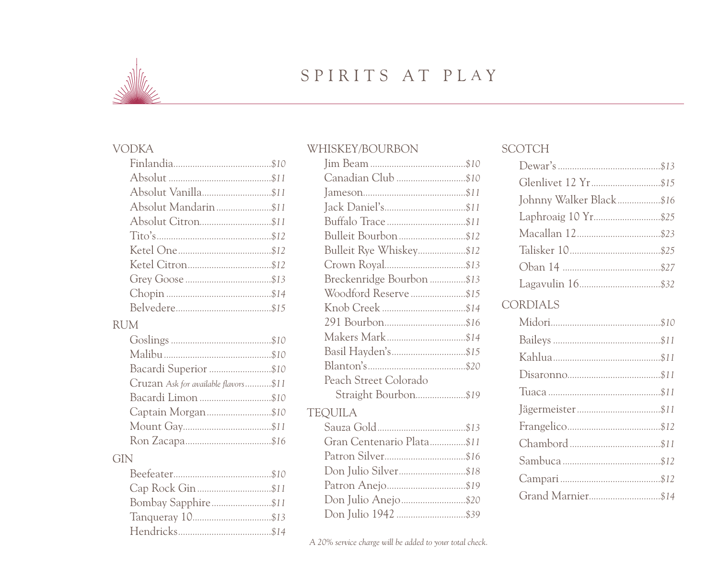

### SPIRITS AT PLAY

#### **VODKA**

| Absolut Vanilla\$11  |  |
|----------------------|--|
| Absolut Mandarin\$11 |  |
|                      |  |
|                      |  |
|                      |  |
|                      |  |
|                      |  |
|                      |  |
|                      |  |

#### **RUM**

| Bacardi Superior \$10                |  |
|--------------------------------------|--|
| Cruzan Ask for available flavors\$11 |  |
|                                      |  |
| Captain Morgan\$10                   |  |
|                                      |  |
|                                      |  |
|                                      |  |

#### GIN

#### WHISKEY/BOURBON

| Canadian Club \$10        |  |
|---------------------------|--|
|                           |  |
|                           |  |
|                           |  |
| Bulleit Bourbon\$12       |  |
| Bulleit Rye Whiskey\$12   |  |
|                           |  |
| Breckenridge Bourbon \$13 |  |
| Woodford Reserve\$15      |  |
|                           |  |
|                           |  |
|                           |  |
|                           |  |
|                           |  |
| Peach Street Colorado     |  |
| Straight Bourbon\$19      |  |
| <b>TEQUILA</b>            |  |
|                           |  |
| Gran Centenario Plata\$11 |  |
|                           |  |
| Don Julio Silver\$18      |  |
|                           |  |
| Don Julio Anejo\$20       |  |
| Don Julio 1942 \$39       |  |

#### **SCOTCH**

| Glenlivet 12 Yr \$15    |  |
|-------------------------|--|
| Johnny Walker Black\$16 |  |
|                         |  |
|                         |  |
|                         |  |
|                         |  |
|                         |  |
| <b>CORDIALS</b>         |  |
|                         |  |
|                         |  |
|                         |  |
|                         |  |
|                         |  |
|                         |  |
|                         |  |
|                         |  |
|                         |  |
|                         |  |
| Grand Marnier\$14       |  |
|                         |  |

A 20% service charge will be added to your total check.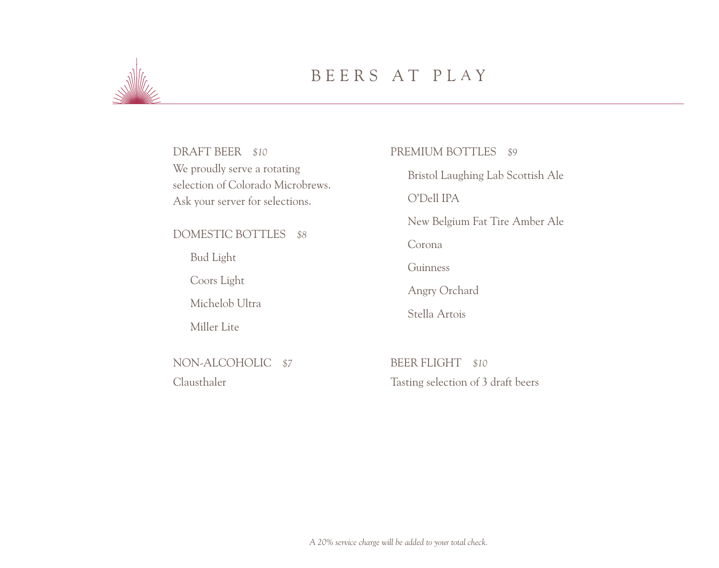

## BEERS AT PL A Y

DRAFT BEER *\$10* We proudly serve a rotating selection of Colorado Microbrews. Ask your server for selections.

#### DOMESTIC BOTTLES *\$8*

Bud Light

Coors Light

Michelob Ultra

Miller Lite

NON-ALCOHOLIC *\$7*  Clausthaler

#### PREMIUM BOTTLES *\$9*

Bristol Laughing Lab Scottish Ale O'Dell IPA New Belgium Fat Tire Amber Ale Corona Guinness Angry Orchard Stella Artois

BEER FLIGHT *\$10*  Tasting selection of 3 draft beers